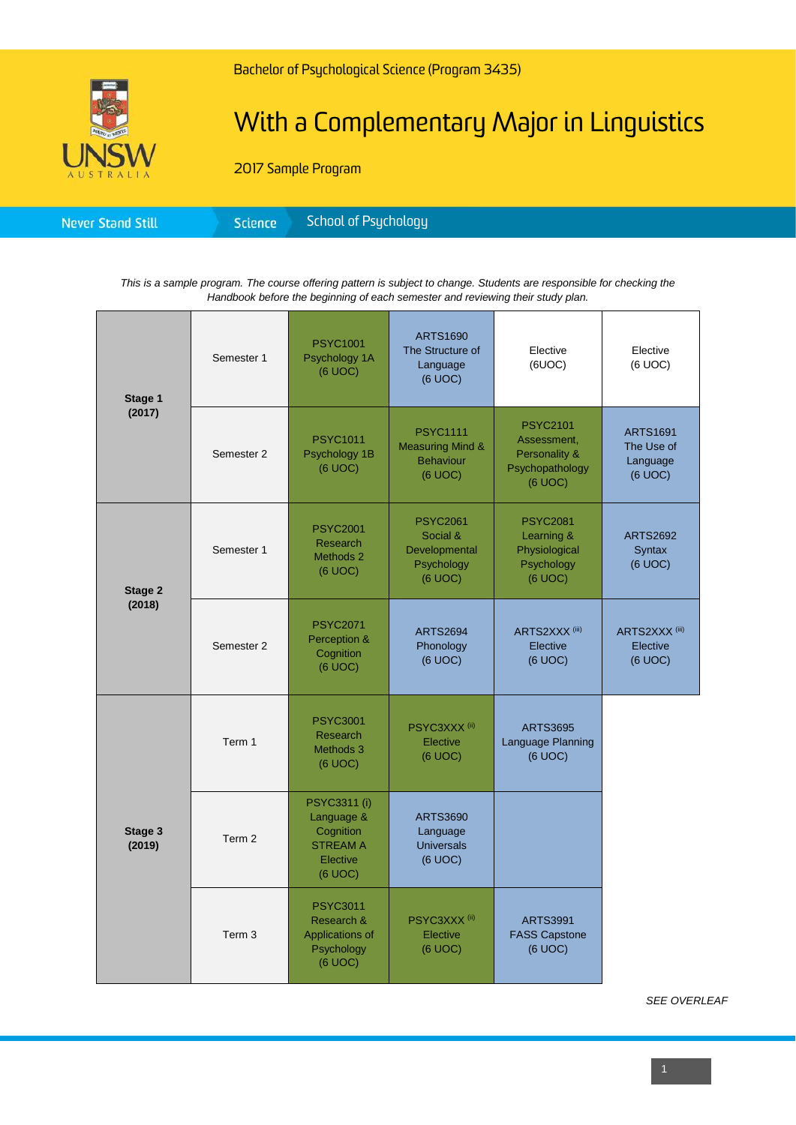

# With a Complementary Major in Linguistics

2017 Sample Program

|--|

*This is a sample program. The course offering pattern is subject to change. Students are responsible for checking the Handbook before the beginning of each semester and reviewing their study plan.*

| Stage 1<br>(2017) | Semester 1        | <b>PSYC1001</b><br>Psychology 1A<br>(6 UOC)                                              | <b>ARTS1690</b><br>The Structure of<br>Language<br>(6 UOC)                    | Elective<br>(6UOC)                                                            | Elective<br>(6 UOC)                                  |
|-------------------|-------------------|------------------------------------------------------------------------------------------|-------------------------------------------------------------------------------|-------------------------------------------------------------------------------|------------------------------------------------------|
|                   | Semester 2        | <b>PSYC1011</b><br>Psychology 1B<br>(6 UOC)                                              | <b>PSYC1111</b><br><b>Measuring Mind &amp;</b><br><b>Behaviour</b><br>(6 UOC) | <b>PSYC2101</b><br>Assessment,<br>Personality &<br>Psychopathology<br>(6 UOC) | <b>ARTS1691</b><br>The Use of<br>Language<br>(6 UOC) |
| Stage 2<br>(2018) | Semester 1        | <b>PSYC2001</b><br><b>Research</b><br>Methods 2<br>(6 UOC)                               | <b>PSYC2061</b><br>Social &<br>Developmental<br>Psychology<br>(6 UOC)         | <b>PSYC2081</b><br>Learning &<br>Physiological<br>Psychology<br>(6 UOC)       | <b>ARTS2692</b><br>Syntax<br>(6 UOC)                 |
|                   | Semester 2        | <b>PSYC2071</b><br>Perception &<br>Cognition<br>(6 UOC)                                  | <b>ARTS2694</b><br>Phonology<br>(6 UOC)                                       | ARTS2XXX <sup>(iii)</sup><br>Elective<br>(6 UOC)                              | ARTS2XXX <sup>(iii)</sup><br>Elective<br>(6 UOC)     |
| Stage 3<br>(2019) | Term 1            | <b>PSYC3001</b><br><b>Research</b><br>Methods 3<br>(6 UOC)                               | PSYC3XXX <sup>(ii)</sup><br>Elective<br>(6 UOC)                               | <b>ARTS3695</b><br>Language Planning<br>(6 UOC)                               |                                                      |
|                   | Term 2            | <b>PSYC3311 (i)</b><br>Language &<br>Cognition<br><b>STREAM A</b><br>Elective<br>(6 UOC) | <b>ARTS3690</b><br>Language<br><b>Universals</b><br>(6 UOC)                   |                                                                               |                                                      |
|                   | Term <sub>3</sub> | <b>PSYC3011</b><br>Research &<br>Applications of<br>Psychology<br>(6 UOC)                | PSYC3XXX <sup>(ii)</sup><br>Elective<br>(6 UOC)                               | <b>ARTS3991</b><br><b>FASS Capstone</b><br>(6 UOC)                            |                                                      |

*SEE OVERLEAF*